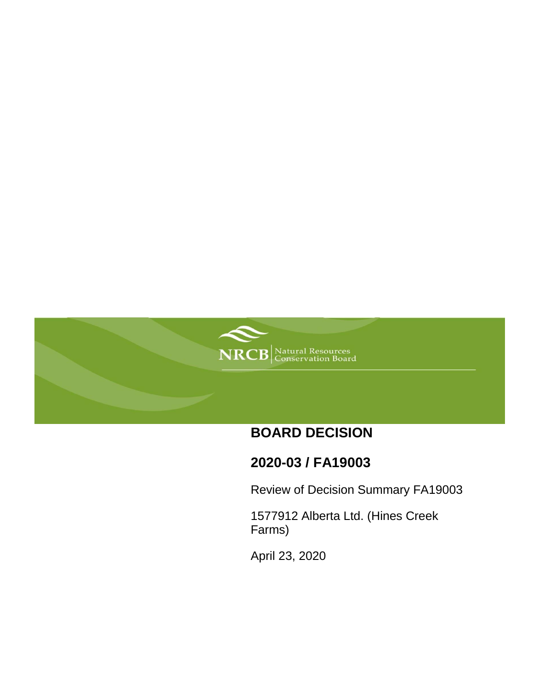

# **BOARD DECISION**

# **2020-03 / FA19003**

Review of Decision Summary FA19003

1577912 Alberta Ltd. (Hines Creek Farms)

April 23, 2020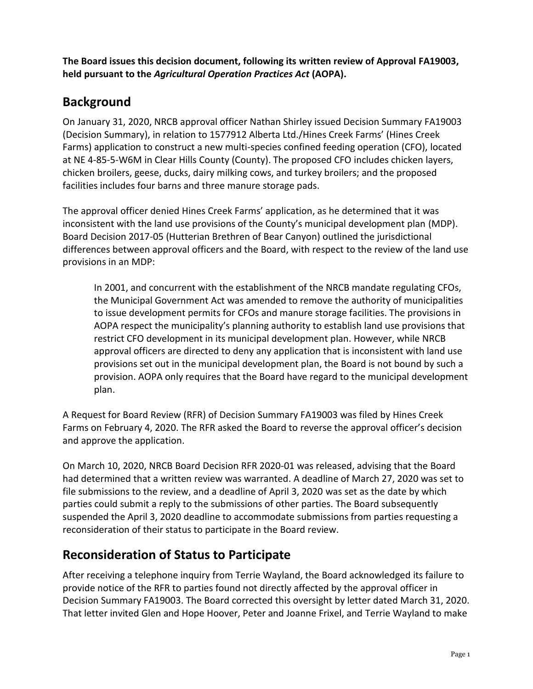**The Board issues this decision document, following its written review of Approval FA19003, held pursuant to the** *Agricultural Operation Practices Act* **(AOPA).**

## **Background**

On January 31, 2020, NRCB approval officer Nathan Shirley issued Decision Summary FA19003 (Decision Summary), in relation to 1577912 Alberta Ltd./Hines Creek Farms' (Hines Creek Farms) application to construct a new multi-species confined feeding operation (CFO), located at NE 4-85-5-W6M in Clear Hills County (County). The proposed CFO includes chicken layers, chicken broilers, geese, ducks, dairy milking cows, and turkey broilers; and the proposed facilities includes four barns and three manure storage pads.

The approval officer denied Hines Creek Farms' application, as he determined that it was inconsistent with the land use provisions of the County's municipal development plan (MDP). Board Decision 2017-05 (Hutterian Brethren of Bear Canyon) outlined the jurisdictional differences between approval officers and the Board, with respect to the review of the land use provisions in an MDP:

In 2001, and concurrent with the establishment of the NRCB mandate regulating CFOs, the Municipal Government Act was amended to remove the authority of municipalities to issue development permits for CFOs and manure storage facilities. The provisions in AOPA respect the municipality's planning authority to establish land use provisions that restrict CFO development in its municipal development plan. However, while NRCB approval officers are directed to deny any application that is inconsistent with land use provisions set out in the municipal development plan, the Board is not bound by such a provision. AOPA only requires that the Board have regard to the municipal development plan.

A Request for Board Review (RFR) of Decision Summary FA19003 was filed by Hines Creek Farms on February 4, 2020. The RFR asked the Board to reverse the approval officer's decision and approve the application.

On March 10, 2020, NRCB Board Decision RFR 2020-01 was released, advising that the Board had determined that a written review was warranted. A deadline of March 27, 2020 was set to file submissions to the review, and a deadline of April 3, 2020 was set as the date by which parties could submit a reply to the submissions of other parties. The Board subsequently suspended the April 3, 2020 deadline to accommodate submissions from parties requesting a reconsideration of their status to participate in the Board review.

### **Reconsideration of Status to Participate**

After receiving a telephone inquiry from Terrie Wayland, the Board acknowledged its failure to provide notice of the RFR to parties found not directly affected by the approval officer in Decision Summary FA19003. The Board corrected this oversight by letter dated March 31, 2020. That letter invited Glen and Hope Hoover, Peter and Joanne Frixel, and Terrie Wayland to make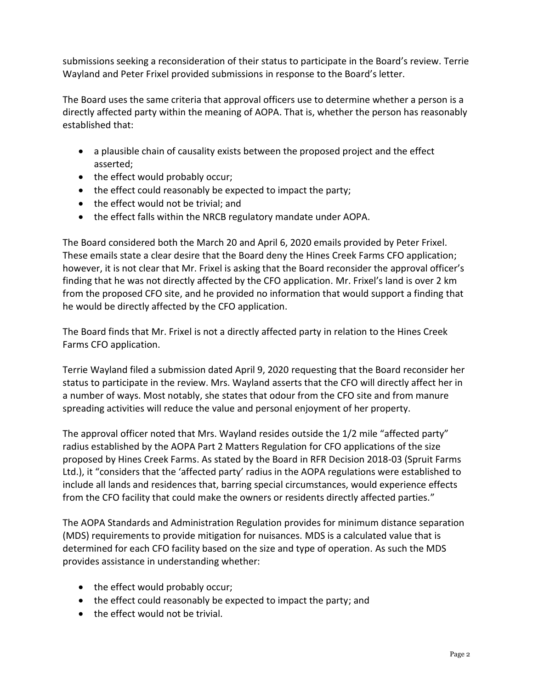submissions seeking a reconsideration of their status to participate in the Board's review. Terrie Wayland and Peter Frixel provided submissions in response to the Board's letter.

The Board uses the same criteria that approval officers use to determine whether a person is a directly affected party within the meaning of AOPA. That is, whether the person has reasonably established that:

- a plausible chain of causality exists between the proposed project and the effect asserted;
- the effect would probably occur;
- the effect could reasonably be expected to impact the party;
- the effect would not be trivial; and
- the effect falls within the NRCB regulatory mandate under AOPA.

The Board considered both the March 20 and April 6, 2020 emails provided by Peter Frixel. These emails state a clear desire that the Board deny the Hines Creek Farms CFO application; however, it is not clear that Mr. Frixel is asking that the Board reconsider the approval officer's finding that he was not directly affected by the CFO application. Mr. Frixel's land is over 2 km from the proposed CFO site, and he provided no information that would support a finding that he would be directly affected by the CFO application.

The Board finds that Mr. Frixel is not a directly affected party in relation to the Hines Creek Farms CFO application.

Terrie Wayland filed a submission dated April 9, 2020 requesting that the Board reconsider her status to participate in the review. Mrs. Wayland asserts that the CFO will directly affect her in a number of ways. Most notably, she states that odour from the CFO site and from manure spreading activities will reduce the value and personal enjoyment of her property.

The approval officer noted that Mrs. Wayland resides outside the 1/2 mile "affected party" radius established by the AOPA Part 2 Matters Regulation for CFO applications of the size proposed by Hines Creek Farms. As stated by the Board in RFR Decision 2018-03 (Spruit Farms Ltd.), it "considers that the 'affected party' radius in the AOPA regulations were established to include all lands and residences that, barring special circumstances, would experience effects from the CFO facility that could make the owners or residents directly affected parties."

The AOPA Standards and Administration Regulation provides for minimum distance separation (MDS) requirements to provide mitigation for nuisances. MDS is a calculated value that is determined for each CFO facility based on the size and type of operation. As such the MDS provides assistance in understanding whether:

- the effect would probably occur;
- the effect could reasonably be expected to impact the party; and
- the effect would not be trivial.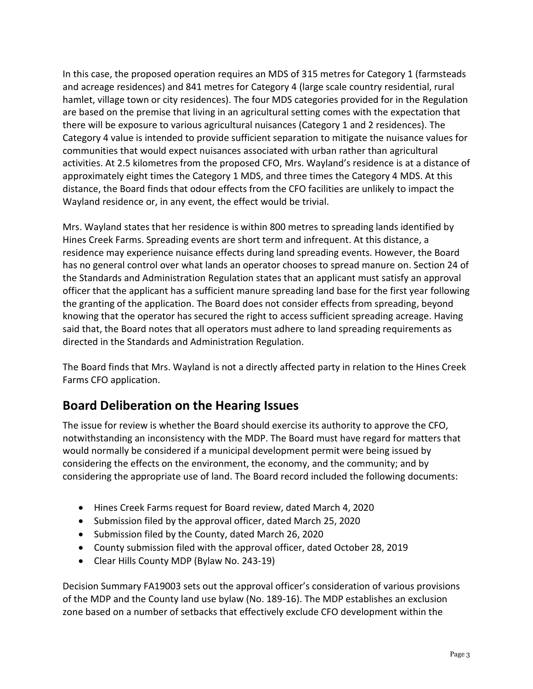In this case, the proposed operation requires an MDS of 315 metres for Category 1 (farmsteads and acreage residences) and 841 metres for Category 4 (large scale country residential, rural hamlet, village town or city residences). The four MDS categories provided for in the Regulation are based on the premise that living in an agricultural setting comes with the expectation that there will be exposure to various agricultural nuisances (Category 1 and 2 residences). The Category 4 value is intended to provide sufficient separation to mitigate the nuisance values for communities that would expect nuisances associated with urban rather than agricultural activities. At 2.5 kilometres from the proposed CFO, Mrs. Wayland's residence is at a distance of approximately eight times the Category 1 MDS, and three times the Category 4 MDS. At this distance, the Board finds that odour effects from the CFO facilities are unlikely to impact the Wayland residence or, in any event, the effect would be trivial.

Mrs. Wayland states that her residence is within 800 metres to spreading lands identified by Hines Creek Farms. Spreading events are short term and infrequent. At this distance, a residence may experience nuisance effects during land spreading events. However, the Board has no general control over what lands an operator chooses to spread manure on. Section 24 of the Standards and Administration Regulation states that an applicant must satisfy an approval officer that the applicant has a sufficient manure spreading land base for the first year following the granting of the application. The Board does not consider effects from spreading, beyond knowing that the operator has secured the right to access sufficient spreading acreage. Having said that, the Board notes that all operators must adhere to land spreading requirements as directed in the Standards and Administration Regulation.

The Board finds that Mrs. Wayland is not a directly affected party in relation to the Hines Creek Farms CFO application.

## **Board Deliberation on the Hearing Issues**

The issue for review is whether the Board should exercise its authority to approve the CFO, notwithstanding an inconsistency with the MDP. The Board must have regard for matters that would normally be considered if a municipal development permit were being issued by considering the effects on the environment, the economy, and the community; and by considering the appropriate use of land. The Board record included the following documents:

- Hines Creek Farms request for Board review, dated March 4, 2020
- Submission filed by the approval officer, dated March 25, 2020
- Submission filed by the County, dated March 26, 2020
- County submission filed with the approval officer, dated October 28, 2019
- Clear Hills County MDP (Bylaw No. 243-19)

Decision Summary FA19003 sets out the approval officer's consideration of various provisions of the MDP and the County land use bylaw (No. 189-16). The MDP establishes an exclusion zone based on a number of setbacks that effectively exclude CFO development within the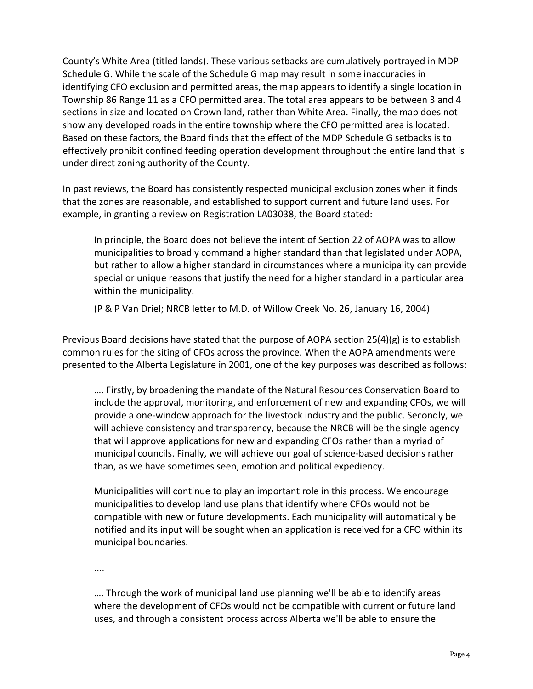County's White Area (titled lands). These various setbacks are cumulatively portrayed in MDP Schedule G. While the scale of the Schedule G map may result in some inaccuracies in identifying CFO exclusion and permitted areas, the map appears to identify a single location in Township 86 Range 11 as a CFO permitted area. The total area appears to be between 3 and 4 sections in size and located on Crown land, rather than White Area. Finally, the map does not show any developed roads in the entire township where the CFO permitted area is located. Based on these factors, the Board finds that the effect of the MDP Schedule G setbacks is to effectively prohibit confined feeding operation development throughout the entire land that is under direct zoning authority of the County.

In past reviews, the Board has consistently respected municipal exclusion zones when it finds that the zones are reasonable, and established to support current and future land uses. For example, in granting a review on Registration LA03038, the Board stated:

In principle, the Board does not believe the intent of Section 22 of AOPA was to allow municipalities to broadly command a higher standard than that legislated under AOPA, but rather to allow a higher standard in circumstances where a municipality can provide special or unique reasons that justify the need for a higher standard in a particular area within the municipality.

(P & P Van Driel; NRCB letter to M.D. of Willow Creek No. 26, January 16, 2004)

Previous Board decisions have stated that the purpose of AOPA section 25(4)(g) is to establish common rules for the siting of CFOs across the province. When the AOPA amendments were presented to the Alberta Legislature in 2001, one of the key purposes was described as follows:

…. Firstly, by broadening the mandate of the Natural Resources Conservation Board to include the approval, monitoring, and enforcement of new and expanding CFOs, we will provide a one-window approach for the livestock industry and the public. Secondly, we will achieve consistency and transparency, because the NRCB will be the single agency that will approve applications for new and expanding CFOs rather than a myriad of municipal councils. Finally, we will achieve our goal of science-based decisions rather than, as we have sometimes seen, emotion and political expediency.

Municipalities will continue to play an important role in this process. We encourage municipalities to develop land use plans that identify where CFOs would not be compatible with new or future developments. Each municipality will automatically be notified and its input will be sought when an application is received for a CFO within its municipal boundaries.

....

…. Through the work of municipal land use planning we'll be able to identify areas where the development of CFOs would not be compatible with current or future land uses, and through a consistent process across Alberta we'll be able to ensure the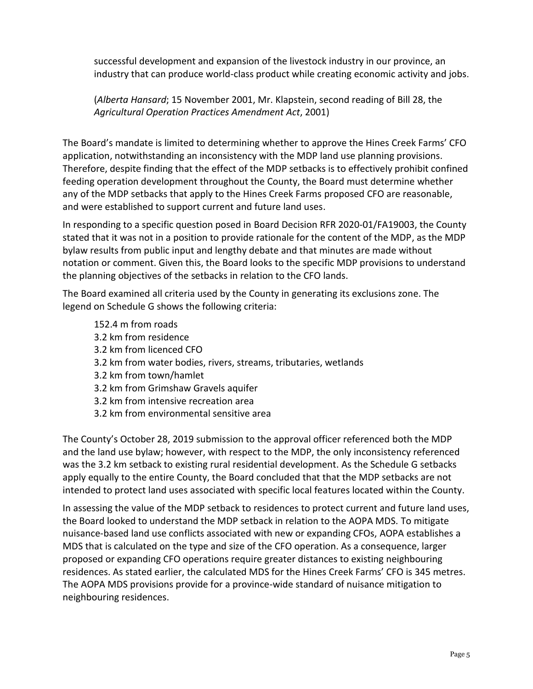successful development and expansion of the livestock industry in our province, an industry that can produce world-class product while creating economic activity and jobs.

(*Alberta Hansard*; 15 November 2001, Mr. Klapstein, second reading of Bill 28, the *Agricultural Operation Practices Amendment Act*, 2001)

The Board's mandate is limited to determining whether to approve the Hines Creek Farms' CFO application, notwithstanding an inconsistency with the MDP land use planning provisions. Therefore, despite finding that the effect of the MDP setbacks is to effectively prohibit confined feeding operation development throughout the County, the Board must determine whether any of the MDP setbacks that apply to the Hines Creek Farms proposed CFO are reasonable, and were established to support current and future land uses.

In responding to a specific question posed in Board Decision RFR 2020-01/FA19003, the County stated that it was not in a position to provide rationale for the content of the MDP, as the MDP bylaw results from public input and lengthy debate and that minutes are made without notation or comment. Given this, the Board looks to the specific MDP provisions to understand the planning objectives of the setbacks in relation to the CFO lands.

The Board examined all criteria used by the County in generating its exclusions zone. The legend on Schedule G shows the following criteria:

152.4 m from roads 3.2 km from residence 3.2 km from licenced CFO 3.2 km from water bodies, rivers, streams, tributaries, wetlands 3.2 km from town/hamlet 3.2 km from Grimshaw Gravels aquifer 3.2 km from intensive recreation area 3.2 km from environmental sensitive area

The County's October 28, 2019 submission to the approval officer referenced both the MDP and the land use bylaw; however, with respect to the MDP, the only inconsistency referenced was the 3.2 km setback to existing rural residential development. As the Schedule G setbacks apply equally to the entire County, the Board concluded that that the MDP setbacks are not intended to protect land uses associated with specific local features located within the County.

In assessing the value of the MDP setback to residences to protect current and future land uses, the Board looked to understand the MDP setback in relation to the AOPA MDS. To mitigate nuisance-based land use conflicts associated with new or expanding CFOs, AOPA establishes a MDS that is calculated on the type and size of the CFO operation. As a consequence, larger proposed or expanding CFO operations require greater distances to existing neighbouring residences. As stated earlier, the calculated MDS for the Hines Creek Farms' CFO is 345 metres. The AOPA MDS provisions provide for a province-wide standard of nuisance mitigation to neighbouring residences.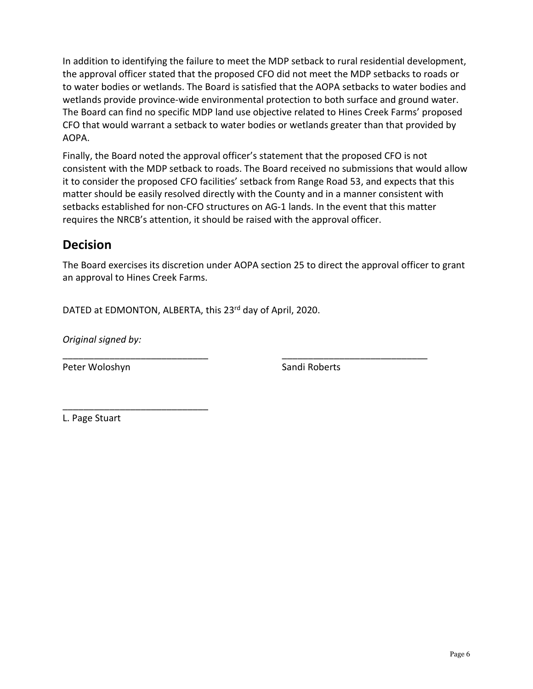In addition to identifying the failure to meet the MDP setback to rural residential development, the approval officer stated that the proposed CFO did not meet the MDP setbacks to roads or to water bodies or wetlands. The Board is satisfied that the AOPA setbacks to water bodies and wetlands provide province-wide environmental protection to both surface and ground water. The Board can find no specific MDP land use objective related to Hines Creek Farms' proposed CFO that would warrant a setback to water bodies or wetlands greater than that provided by AOPA.

Finally, the Board noted the approval officer's statement that the proposed CFO is not consistent with the MDP setback to roads. The Board received no submissions that would allow it to consider the proposed CFO facilities' setback from Range Road 53, and expects that this matter should be easily resolved directly with the County and in a manner consistent with setbacks established for non-CFO structures on AG-1 lands. In the event that this matter requires the NRCB's attention, it should be raised with the approval officer.

### **Decision**

The Board exercises its discretion under AOPA section 25 to direct the approval officer to grant an approval to Hines Creek Farms.

\_\_\_\_\_\_\_\_\_\_\_\_\_\_\_\_\_\_\_\_\_\_\_\_\_\_\_\_ \_\_\_\_\_\_\_\_\_\_\_\_\_\_\_\_\_\_\_\_\_\_\_\_\_\_\_\_

DATED at EDMONTON, ALBERTA, this 23<sup>rd</sup> day of April, 2020.

*Original signed by:*

\_\_\_\_\_\_\_\_\_\_\_\_\_\_\_\_\_\_\_\_\_\_\_\_\_\_\_\_

Peter Woloshyn Sandi Roberts

L. Page Stuart